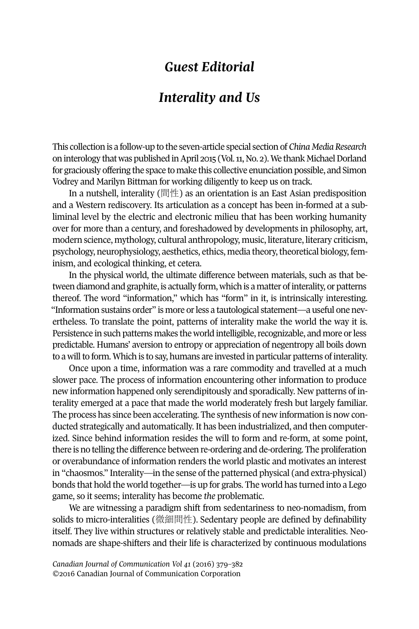## *Guest Editorial*

## *Interality and Us*

This collection is a follow-up to the seven-article special section of *China Media Research* on interology that was published in April 2015 (Vol. 11, No. 2). We thank Michael Dorland for graciously offering the space to make this collective enunciation possible, and Simon Vodrey and Marilyn Bittman for working diligently to keep us on track.

In a nutshell, interality (間性) as an orientation is an East Asian predisposition and a Western rediscovery. Its articulation as a concept has been in-formed at a subliminal level by the electric and electronic milieu that has been working humanity over for more than a century, and foreshadowed by developments in philosophy, art, modern science, mythology, cultural anthropology, music, literature, literary criticism, psychology, neurophysiology, aesthetics, ethics, media theory, theoretical biology, feminism, and ecological thinking, et cetera.

In the physical world, the ultimate difference between materials, such as that between diamond and graphite, is actually form, which is a matter ofinterality, or patterns thereof. The word "information," which has "form" in it, is intrinsically interesting. "Information sustains order" is more orless a tautological statement—a useful one nevertheless. To translate the point, patterns of interality make the world the way it is. Persistence in such patterns makes the world intelligible, recognizable, and more or less predictable. Humans' aversion to entropy or appreciation of negentropy all boils down to a will to form. Which is to say, humans are invested in particular patterns of interality.

Once upon a time, information was a rare commodity and travelled at a much slower pace. The process of information encountering other information to produce new information happened only serendipitously and sporadically. New patterns of interality emerged at a pace that made the world moderately fresh but largely familiar. The process has since been accelerating. The synthesis of new information is now conducted strategically and automatically. It has been industrialized, and then computerized. Since behind information resides the will to form and re-form, at some point, there is no telling the difference between re-ordering and de-ordering. The proliferation or overabundance of information renders the world plastic and motivates an interest in "chaosmos." Interality—in the sense of the patterned physical (and extra-physical) bonds that hold the world together—is up for grabs. The world has turned into a Lego game, so it seems; interality has become *the* problematic.

We are witnessing a paradigm shift from sedentariness to neo-nomadism, from solids to micro-interalities (微細間性). Sedentary people are defined by definability itself. They live within structures or relatively stable and predictable interalities. Neonomads are shape-shifters and their life is characterized by continuous modulations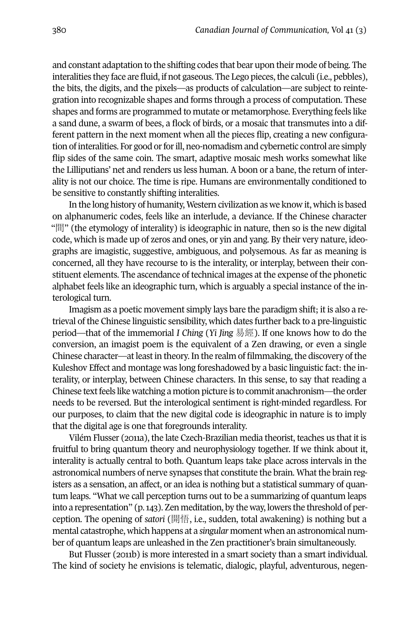and constant adaptation to the shifting codes that bear upon their mode of being. The interalities they face are fluid, if not gaseous. The Lego pieces, the calculi (i.e., pebbles), the bits, the digits, and the pixels—as products of calculation—are subject to reintegration into recognizable shapes and forms through a process of computation. These shapes and forms are programmed to mutate or metamorphose. Everything feels like a sand dune, a swarm of bees, a flock of birds, or a mosaic that transmutes into a different pattern in the next moment when all the pieces flip, creating a new configuration of interalities. For good or for ill, neo-nomadism and cybernetic control are simply flip sides of the same coin. The smart, adaptive mosaic mesh works somewhat like the Lilliputians' net and renders us less human. A boon or a bane, the return of interality is not our choice. The time is ripe. Humans are environmentally conditioned to be sensitive to constantly shifting interalities.

In the long history of humanity, Western civilization as we know it, which is based on alphanumeric codes, feels like an interlude, a deviance. If the Chinese character "間" (the etymology of interality) is ideographic in nature, then so is the new digital code, which is made up of zeros and ones, or yin and yang. By their very nature, ideographs are imagistic, suggestive, ambiguous, and polysemous. As far as meaning is concerned, all they have recourse to is the interality, or interplay, between their constituent elements. The ascendance of technical images at the expense of the phonetic alphabet feels like an ideographic turn, which is arguably a special instance of the interological turn.

Imagism as a poetic movement simply lays bare the paradigm shift; it is also a retrieval of the Chinese linguistic sensibility, which dates further back to a pre-linguistic period—that of the immemorial *I Ching* (*Yi Jing* 易經). If one knows how to do the conversion, an imagist poem is the equivalent of a Zen drawing, or even a single Chinese character—at least in theory. In the realm of filmmaking, the discovery of the Kuleshov Effect and montage was long foreshadowed by a basic linguistic fact: the interality, or interplay, between Chinese characters. In this sense, to say that reading a Chinese textfeels like watching a motion picture is to commit anachronism—the order needs to be reversed. But the interological sentiment is right-minded regardless. For our purposes, to claim that the new digital code is ideographic in nature is to imply that the digital age is one that foregrounds interality.

Vilém Flusser (2011a), the late Czech-Brazilian media theorist, teaches us that it is fruitful to bring quantum theory and neurophysiology together. If we think about it, interality is actually central to both. Quantum leaps take place across intervals in the astronomical numbers of nerve synapses that constitute the brain. What the brain registers as a sensation, an affect, or an idea is nothing but a statistical summary of quantum leaps. "What we call perception turns out to be a summarizing of quantum leaps into a representation" (p.143). Zen meditation, by the way, lowers the threshold of perception. The opening of *satori* (開悟, i.e., sudden, total awakening) is nothing but a mental catastrophe, which happens at a *singular* moment when an astronomical number of quantum leaps are unleashed in the Zen practitioner's brain simultaneously.

But Flusser (2011b) is more interested in a smart society than a smart individual. The kind of society he envisions is telematic, dialogic, playful, adventurous, negen-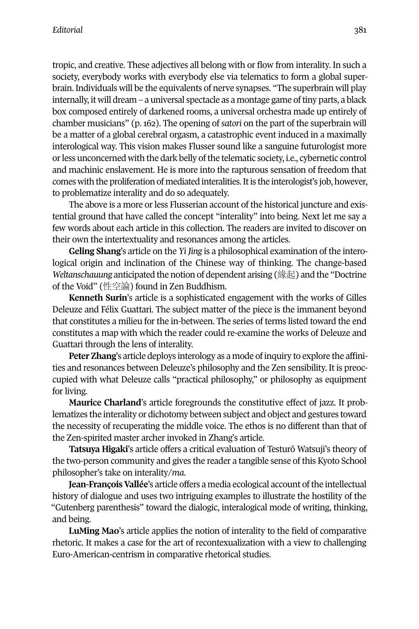tropic, and creative. These adjectives all belong with or flow from interality. In such a society, everybody works with everybody else via telematics to form a global superbrain. Individuals will be the equivalents of nerve synapses. "The superbrain will play internally, it will dream – a universal spectacle as a montage game of tiny parts, a black box composed entirely of darkened rooms, a universal orchestra made up entirely of chamber musicians" (p. 162). The opening of *satori* on the part of the superbrain will be a matter of a global cerebral orgasm, a catastrophic event induced in a maximally interological way. This vision makes Flusser sound like a sanguine futurologist more or less unconcerned with the dark belly of the telematic society, i.e., cybernetic control and machinic enslavement. He is more into the rapturous sensation of freedom that comes with the proliferation of mediated interalities. It is the interologist's job, however, to problematize interality and do so adequately.

The above is a more or less Flusserian account of the historical juncture and existential ground that have called the concept "interality" into being. Next let me say a few words about each article in this collection. The readers are invited to discover on their own the intertextuality and resonances among the articles.

**Geling Shang**'s article on the *Yi Jing* is a philosophical examination of the interological origin and inclination of the Chinese way of thinking. The change-based *Weltanschauung* anticipated the notion of dependent arising (緣起) and the "Doctrine of the Void" (性空論) found in Zen Buddhism.

**Kenneth Surin**'s article is a sophisticated engagement with the works of Gilles Deleuze and Félix Guattari. The subject matter of the piece is the immanent beyond that constitutes a milieu for the in-between. The series of terms listed toward the end constitutes a map with which the reader could re-examine the works of Deleuze and Guattari through the lens of interality.

**Peter Zhang**'s article deploys interology as a mode of inquiry to explore the affinities and resonances between Deleuze's philosophy and the Zen sensibility. It is preoccupied with what Deleuze calls "practical philosophy," or philosophy as equipment for living.

**Maurice Charland**'s article foregrounds the constitutive effect of jazz. It problematizes the interality or dichotomy between subject and object and gestures toward the necessity of recuperating the middle voice. The ethos is no different than that of the Zen-spirited master archer invoked in Zhang's article.

**Tatsuya Higaki**'s article offers a critical evaluation of Testurō Watsuji's theory of the two-person community and gives the reader a tangible sense of this Kyoto School philosopher's take on interality/*ma*.

**Jean-François Vallée's article offers a media ecological account of the intellectual** history of dialogue and uses two intriguing examples to illustrate the hostility of the "Gutenberg parenthesis" toward the dialogic, interalogical mode of writing, thinking, and being.

**LuMing Mao**'s article applies the notion of interality to the field of comparative rhetoric. It makes a case for the art of recontexualization with a view to challenging Euro-American-centrism in comparative rhetorical studies.